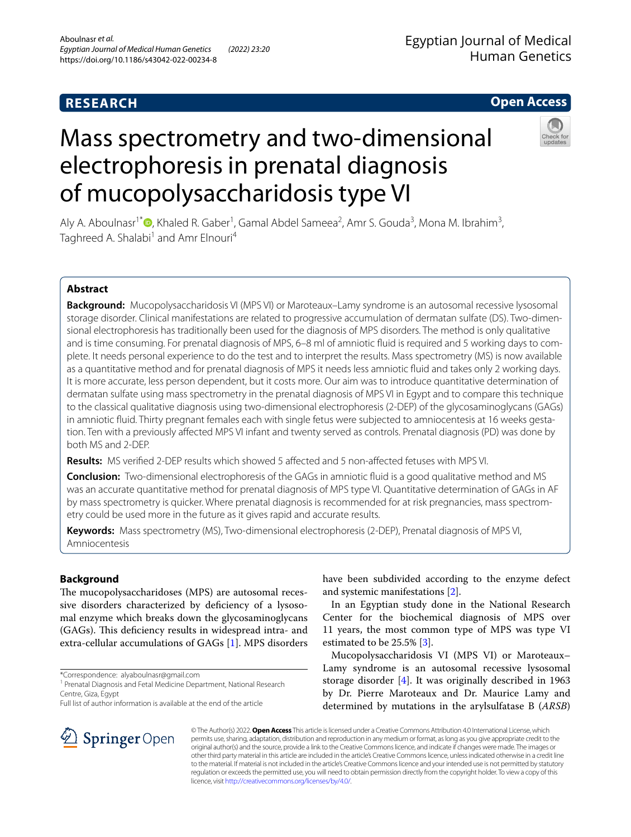# **RESEARCH**

## **Open Access**

# Mass spectrometry and two-dimensional electrophoresis in prenatal diagnosis of mucopolysaccharidosis type VI



Aly A. Aboulnasr<sup>1\*</sup><sup>®</sup>[,](http://orcid.org/0000-0001-6770-5089) Khaled R. Gaber<sup>1</sup>, Gamal Abdel Sameea<sup>2</sup>, Amr S. Gouda<sup>3</sup>, Mona M. Ibrahim<sup>3</sup>, Taghreed A. Shalabi<sup>1</sup> and Amr Elnouri<sup>4</sup>

## **Abstract**

**Background:** Mucopolysaccharidosis VI (MPS VI) or Maroteaux–Lamy syndrome is an autosomal recessive lysosomal storage disorder. Clinical manifestations are related to progressive accumulation of dermatan sulfate (DS). Two-dimensional electrophoresis has traditionally been used for the diagnosis of MPS disorders. The method is only qualitative and is time consuming. For prenatal diagnosis of MPS, 6–8 ml of amniotic fuid is required and 5 working days to complete. It needs personal experience to do the test and to interpret the results. Mass spectrometry (MS) is now available as a quantitative method and for prenatal diagnosis of MPS it needs less amniotic fuid and takes only 2 working days. It is more accurate, less person dependent, but it costs more. Our aim was to introduce quantitative determination of dermatan sulfate using mass spectrometry in the prenatal diagnosis of MPS VI in Egypt and to compare this technique to the classical qualitative diagnosis using two-dimensional electrophoresis (2-DEP) of the glycosaminoglycans (GAGs) in amniotic fuid. Thirty pregnant females each with single fetus were subjected to amniocentesis at 16 weeks gestation. Ten with a previously afected MPS VI infant and twenty served as controls. Prenatal diagnosis (PD) was done by both MS and 2-DEP.

**Results:** MS verifed 2-DEP results which showed 5 afected and 5 non-afected fetuses with MPS VI.

**Conclusion:** Two-dimensional electrophoresis of the GAGs in amniotic fuid is a good qualitative method and MS was an accurate quantitative method for prenatal diagnosis of MPS type VI. Quantitative determination of GAGs in AF by mass spectrometry is quicker. Where prenatal diagnosis is recommended for at risk pregnancies, mass spectrometry could be used more in the future as it gives rapid and accurate results.

**Keywords:** Mass spectrometry (MS), Two-dimensional electrophoresis (2-DEP), Prenatal diagnosis of MPS VI, Amniocentesis

## **Background**

The mucopolysaccharidoses (MPS) are autosomal recessive disorders characterized by deficiency of a lysosomal enzyme which breaks down the glycosaminoglycans (GAGs). This deficiency results in widespread intra- and extra-cellular accumulations of GAGs [\[1](#page-5-0)]. MPS disorders

\*Correspondence: alyaboulnasr@gmail.com



In an Egyptian study done in the National Research Center for the biochemical diagnosis of MPS over 11 years, the most common type of MPS was type VI estimated to be 25.5% [[3\]](#page-5-2).

Mucopolysaccharidosis VI (MPS VI) or Maroteaux– Lamy syndrome is an autosomal recessive lysosomal storage disorder [[4\]](#page-5-3). It was originally described in 1963 by Dr. Pierre Maroteaux and Dr. Maurice Lamy and determined by mutations in the arylsulfatase B (*ARSB*)



© The Author(s) 2022. **Open Access** This article is licensed under a Creative Commons Attribution 4.0 International License, which permits use, sharing, adaptation, distribution and reproduction in any medium or format, as long as you give appropriate credit to the original author(s) and the source, provide a link to the Creative Commons licence, and indicate if changes were made. The images or other third party material in this article are included in the article's Creative Commons licence, unless indicated otherwise in a credit line to the material. If material is not included in the article's Creative Commons licence and your intended use is not permitted by statutory regulation or exceeds the permitted use, you will need to obtain permission directly from the copyright holder. To view a copy of this licence, visit [http://creativecommons.org/licenses/by/4.0/.](http://creativecommons.org/licenses/by/4.0/)

<sup>&</sup>lt;sup>1</sup> Prenatal Diagnosis and Fetal Medicine Department, National Research Centre, Giza, Egypt

Full list of author information is available at the end of the article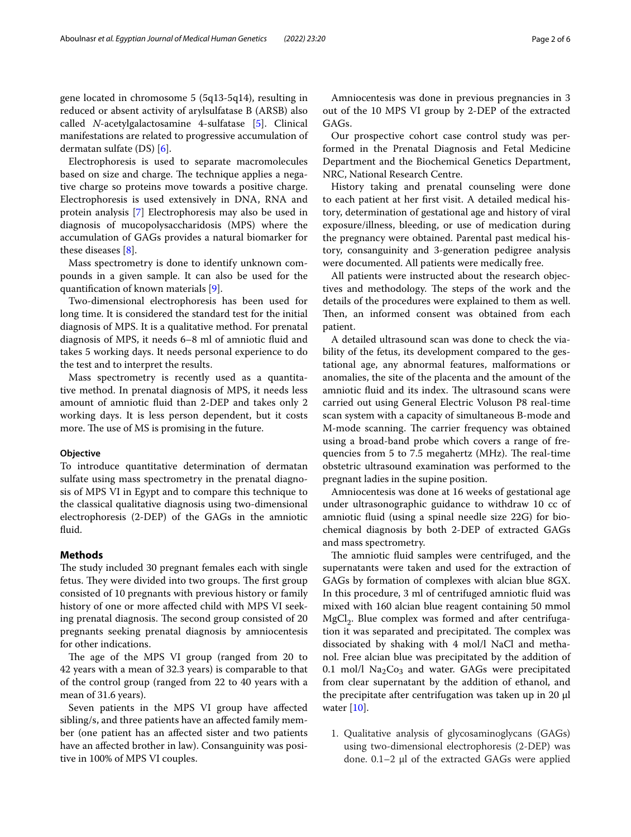Electrophoresis is used to separate macromolecules based on size and charge. The technique applies a negative charge so proteins move towards a positive charge. Electrophoresis is used extensively in DNA, RNA and protein analysis [\[7](#page-5-6)] Electrophoresis may also be used in diagnosis of mucopolysaccharidosis (MPS) where the accumulation of GAGs provides a natural biomarker for these diseases [\[8\]](#page-5-7).

Mass spectrometry is done to identify unknown compounds in a given sample. It can also be used for the quantifcation of known materials [[9\]](#page-5-8).

Two-dimensional electrophoresis has been used for long time. It is considered the standard test for the initial diagnosis of MPS. It is a qualitative method. For prenatal diagnosis of MPS, it needs 6–8 ml of amniotic fuid and takes 5 working days. It needs personal experience to do the test and to interpret the results.

Mass spectrometry is recently used as a quantitative method. In prenatal diagnosis of MPS, it needs less amount of amniotic fuid than 2-DEP and takes only 2 working days. It is less person dependent, but it costs more. The use of MS is promising in the future.

## **Objective**

To introduce quantitative determination of dermatan sulfate using mass spectrometry in the prenatal diagnosis of MPS VI in Egypt and to compare this technique to the classical qualitative diagnosis using two-dimensional electrophoresis (2-DEP) of the GAGs in the amniotic fluid.

## **Methods**

The study included 30 pregnant females each with single fetus. They were divided into two groups. The first group consisted of 10 pregnants with previous history or family history of one or more afected child with MPS VI seeking prenatal diagnosis. The second group consisted of 20 pregnants seeking prenatal diagnosis by amniocentesis for other indications.

The age of the MPS VI group (ranged from 20 to 42 years with a mean of 32.3 years) is comparable to that of the control group (ranged from 22 to 40 years with a mean of 31.6 years).

Seven patients in the MPS VI group have afected sibling/s, and three patients have an afected family member (one patient has an afected sister and two patients have an afected brother in law). Consanguinity was positive in 100% of MPS VI couples.

Amniocentesis was done in previous pregnancies in 3 out of the 10 MPS VI group by 2-DEP of the extracted GAGs.

Our prospective cohort case control study was performed in the Prenatal Diagnosis and Fetal Medicine Department and the Biochemical Genetics Department, NRC, National Research Centre.

History taking and prenatal counseling were done to each patient at her frst visit. A detailed medical history, determination of gestational age and history of viral exposure/illness, bleeding, or use of medication during the pregnancy were obtained. Parental past medical history, consanguinity and 3-generation pedigree analysis were documented. All patients were medically free.

All patients were instructed about the research objectives and methodology. The steps of the work and the details of the procedures were explained to them as well. Then, an informed consent was obtained from each patient.

A detailed ultrasound scan was done to check the viability of the fetus, its development compared to the gestational age, any abnormal features, malformations or anomalies, the site of the placenta and the amount of the amniotic fluid and its index. The ultrasound scans were carried out using General Electric Voluson P8 real-time scan system with a capacity of simultaneous B-mode and M-mode scanning. The carrier frequency was obtained using a broad-band probe which covers a range of frequencies from 5 to 7.5 megahertz (MHz). The real-time obstetric ultrasound examination was performed to the pregnant ladies in the supine position.

Amniocentesis was done at 16 weeks of gestational age under ultrasonographic guidance to withdraw 10 cc of amniotic fuid (using a spinal needle size 22G) for biochemical diagnosis by both 2-DEP of extracted GAGs and mass spectrometry.

The amniotic fluid samples were centrifuged, and the supernatants were taken and used for the extraction of GAGs by formation of complexes with alcian blue 8GX. In this procedure, 3 ml of centrifuged amniotic fuid was mixed with 160 alcian blue reagent containing 50 mmol  $MgCl<sub>2</sub>$ . Blue complex was formed and after centrifugation it was separated and precipitated. The complex was dissociated by shaking with 4 mol/l NaCl and methanol. Free alcian blue was precipitated by the addition of 0.1  $mol/l$   $Na<sub>2</sub>Co<sub>3</sub>$  and water. GAGs were precipitated from clear supernatant by the addition of ethanol, and the precipitate after centrifugation was taken up in 20 µl water [\[10\]](#page-5-9).

1. Qualitative analysis of glycosaminoglycans (GAGs) using two-dimensional electrophoresis (2-DEP) was done.  $0.1-2$  µl of the extracted GAGs were applied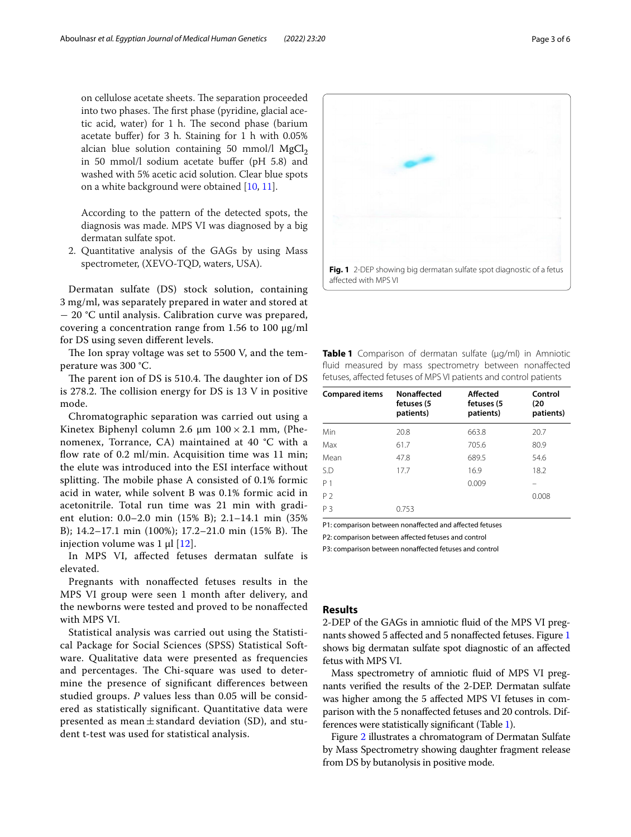on cellulose acetate sheets. The separation proceeded into two phases. The first phase (pyridine, glacial acetic acid, water) for  $1$  h. The second phase (barium acetate bufer) for 3 h. Staining for 1 h with 0.05% alcian blue solution containing 50 mmol/l  $MgCl<sub>2</sub>$ in 50 mmol/l sodium acetate bufer (pH 5.8) and washed with 5% acetic acid solution. Clear blue spots on a white background were obtained [\[10,](#page-5-9) [11](#page-5-10)].

According to the pattern of the detected spots, the diagnosis was made. MPS VI was diagnosed by a big dermatan sulfate spot.

2. Quantitative analysis of the GAGs by using Mass spectrometer, (XEVO-TQD, waters, USA).

Dermatan sulfate (DS) stock solution, containing 3 mg/ml, was separately prepared in water and stored at − 20 °C until analysis. Calibration curve was prepared, covering a concentration range from 1.56 to 100 µg/ml for DS using seven diferent levels.

The Ion spray voltage was set to 5500 V, and the temperature was 300 °C.

The parent ion of DS is 510.4. The daughter ion of DS is 278.2. The collision energy for DS is  $13$  V in positive mode.

Chromatographic separation was carried out using a Kinetex Biphenyl column 2.6  $\mu$ m 100 × 2.1 mm, (Phenomenex, Torrance, CA) maintained at 40 °C with a flow rate of 0.2 ml/min. Acquisition time was 11 min; the elute was introduced into the ESI interface without splitting. The mobile phase A consisted of 0.1% formic acid in water, while solvent B was 0.1% formic acid in acetonitrile. Total run time was 21 min with gradient elution: 0.0–2.0 min (15% B); 2.1–14.1 min (35% B); 14.2-17.1 min (100%); 17.2-21.0 min (15% B). The injection volume was  $1 \mu$ [[12\]](#page-5-11).

In MPS VI, afected fetuses dermatan sulfate is elevated.

Pregnants with nonafected fetuses results in the MPS VI group were seen 1 month after delivery, and the newborns were tested and proved to be nonafected with MPS VI.

Statistical analysis was carried out using the Statistical Package for Social Sciences (SPSS) Statistical Software. Qualitative data were presented as frequencies and percentages. The Chi-square was used to determine the presence of signifcant diferences between studied groups. *P* values less than 0.05 will be considered as statistically signifcant. Quantitative data were presented as mean $\pm$ standard deviation (SD), and student t-test was used for statistical analysis.

<span id="page-2-0"></span>

<span id="page-2-1"></span>fuid measured by mass spectrometry between nonafected fetuses, afected fetuses of MPS VI patients and control patients

| <b>Compared items</b> | <b>Nonaffected</b><br>fetuses (5<br>patients) | Affected<br>fetuses (5<br>patients) | Control<br>(20<br>patients) |
|-----------------------|-----------------------------------------------|-------------------------------------|-----------------------------|
| Min                   | 20.8                                          | 663.8                               | 20.7                        |
| Max                   | 61.7                                          | 705.6                               | 80.9                        |
| Mean                  | 47.8                                          | 689.5                               | 54.6                        |
| S.D                   | 17.7                                          | 16.9                                | 18.2                        |
| P 1                   |                                               | 0.009                               |                             |
| P <sub>2</sub>        |                                               |                                     | 0.008                       |
| ΡЗ                    | 0.753                                         |                                     |                             |

P1: comparison between nonafected and afected fetuses

P2: comparison between afected fetuses and control

P3: comparison between nonafected fetuses and control

## **Results**

2-DEP of the GAGs in amniotic fuid of the MPS VI pregnants showed 5 afected and 5 nonafected fetuses. Figure [1](#page-2-0) shows big dermatan sulfate spot diagnostic of an afected fetus with MPS VI.

Mass spectrometry of amniotic fuid of MPS VI pregnants verifed the results of the 2-DEP. Dermatan sulfate was higher among the 5 afected MPS VI fetuses in comparison with the 5 nonafected fetuses and 20 controls. Differences were statistically signifcant (Table [1](#page-2-1)).

Figure [2](#page-3-0) illustrates a chromatogram of Dermatan Sulfate by Mass Spectrometry showing daughter fragment release from DS by butanolysis in positive mode.

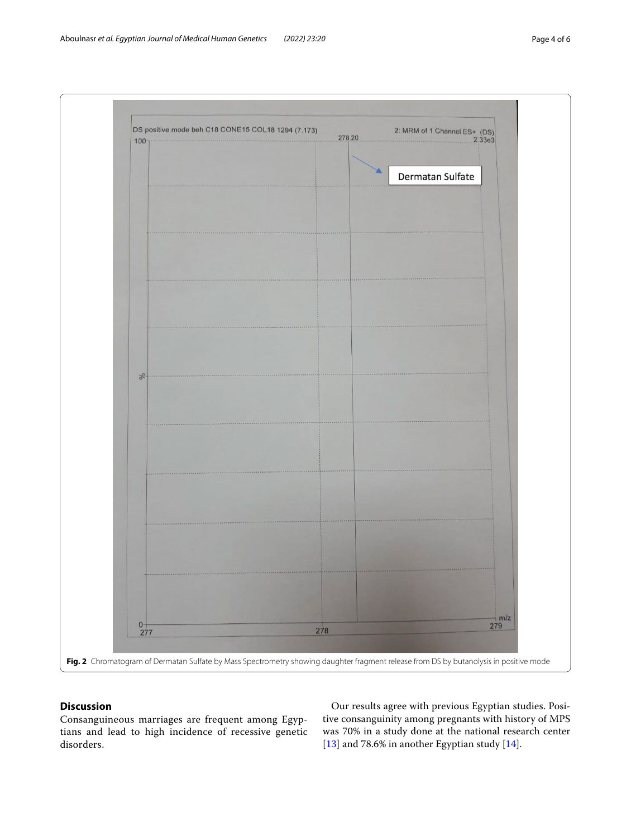

## <span id="page-3-0"></span>**Discussion**

Consanguineous marriages are frequent among Egyptians and lead to high incidence of recessive genetic disorders.

Our results agree with previous Egyptian studies. Positive consanguinity among pregnants with history of MPS was 70% in a study done at the national research center [[13\]](#page-5-12) and 78.6% in another Egyptian study [[14](#page-5-13)].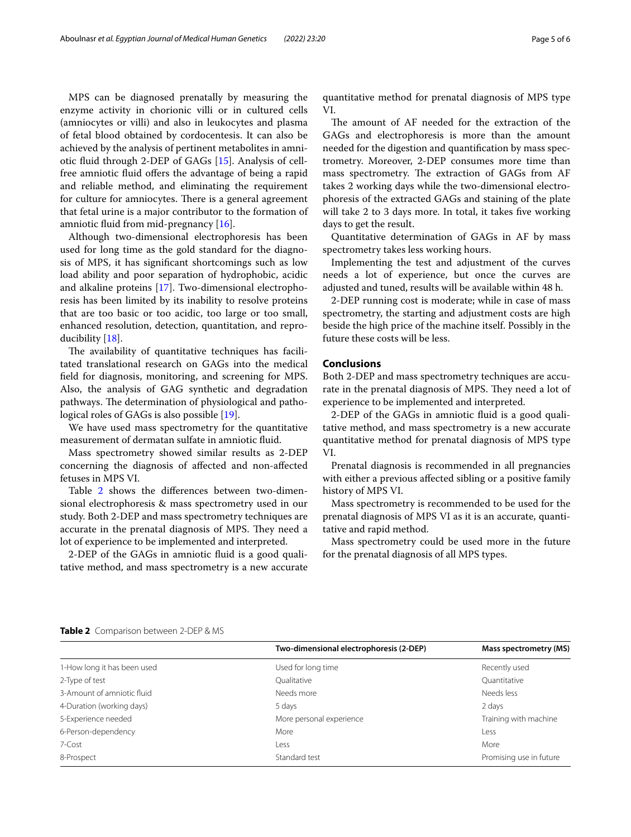MPS can be diagnosed prenatally by measuring the enzyme activity in chorionic villi or in cultured cells (amniocytes or villi) and also in leukocytes and plasma of fetal blood obtained by cordocentesis. It can also be achieved by the analysis of pertinent metabolites in amniotic fuid through 2-DEP of GAGs [\[15\]](#page-5-14). Analysis of cellfree amniotic fluid offers the advantage of being a rapid and reliable method, and eliminating the requirement for culture for amniocytes. There is a general agreement that fetal urine is a major contributor to the formation of amniotic fuid from mid-pregnancy [[16\]](#page-5-15).

Although two-dimensional electrophoresis has been used for long time as the gold standard for the diagnosis of MPS, it has signifcant shortcomings such as low load ability and poor separation of hydrophobic, acidic and alkaline proteins [[17\]](#page-5-16). Two-dimensional electrophoresis has been limited by its inability to resolve proteins that are too basic or too acidic, too large or too small, enhanced resolution, detection, quantitation, and reproducibility [[18](#page-5-17)].

The availability of quantitative techniques has facilitated translational research on GAGs into the medical feld for diagnosis, monitoring, and screening for MPS. Also, the analysis of GAG synthetic and degradation pathways. The determination of physiological and pathological roles of GAGs is also possible [\[19](#page-5-18)].

We have used mass spectrometry for the quantitative measurement of dermatan sulfate in amniotic fuid.

Mass spectrometry showed similar results as 2-DEP concerning the diagnosis of afected and non-afected fetuses in MPS VI.

Table [2](#page-4-0) shows the diferences between two-dimensional electrophoresis & mass spectrometry used in our study. Both 2-DEP and mass spectrometry techniques are accurate in the prenatal diagnosis of MPS. They need a lot of experience to be implemented and interpreted.

2-DEP of the GAGs in amniotic fuid is a good qualitative method, and mass spectrometry is a new accurate quantitative method for prenatal diagnosis of MPS type VI.

The amount of AF needed for the extraction of the GAGs and electrophoresis is more than the amount needed for the digestion and quantifcation by mass spectrometry. Moreover, 2-DEP consumes more time than mass spectrometry. The extraction of GAGs from AF takes 2 working days while the two-dimensional electrophoresis of the extracted GAGs and staining of the plate will take 2 to 3 days more. In total, it takes five working days to get the result.

Quantitative determination of GAGs in AF by mass spectrometry takes less working hours.

Implementing the test and adjustment of the curves needs a lot of experience, but once the curves are adjusted and tuned, results will be available within 48 h.

2-DEP running cost is moderate; while in case of mass spectrometry, the starting and adjustment costs are high beside the high price of the machine itself. Possibly in the future these costs will be less.

## **Conclusions**

Both 2-DEP and mass spectrometry techniques are accurate in the prenatal diagnosis of MPS. They need a lot of experience to be implemented and interpreted.

2-DEP of the GAGs in amniotic fuid is a good qualitative method, and mass spectrometry is a new accurate quantitative method for prenatal diagnosis of MPS type VI.

Prenatal diagnosis is recommended in all pregnancies with either a previous afected sibling or a positive family history of MPS VI.

Mass spectrometry is recommended to be used for the prenatal diagnosis of MPS VI as it is an accurate, quantitative and rapid method.

Mass spectrometry could be used more in the future for the prenatal diagnosis of all MPS types.

| <b>Table 2</b> Companson between 2-DEF & MS |
|---------------------------------------------|
|                                             |

<span id="page-4-0"></span>**Table 2** Comparison between 2-DEP & MS

|                             | Two-dimensional electrophoresis (2-DEP) | Mass spectrometry (MS)  |  |
|-----------------------------|-----------------------------------------|-------------------------|--|
| 1-How long it has been used | Used for long time                      | Recently used           |  |
| 2-Type of test              | Oualitative                             | Quantitative            |  |
| 3-Amount of amniotic fluid  | Needs more                              | Needs less              |  |
| 4-Duration (working days)   | 5 days                                  | 2 days                  |  |
| 5-Experience needed         | More personal experience                | Training with machine   |  |
| 6-Person-dependency         | More                                    | Less                    |  |
| 7-Cost                      | Less                                    | More                    |  |
| 8-Prospect                  | Standard test                           | Promising use in future |  |